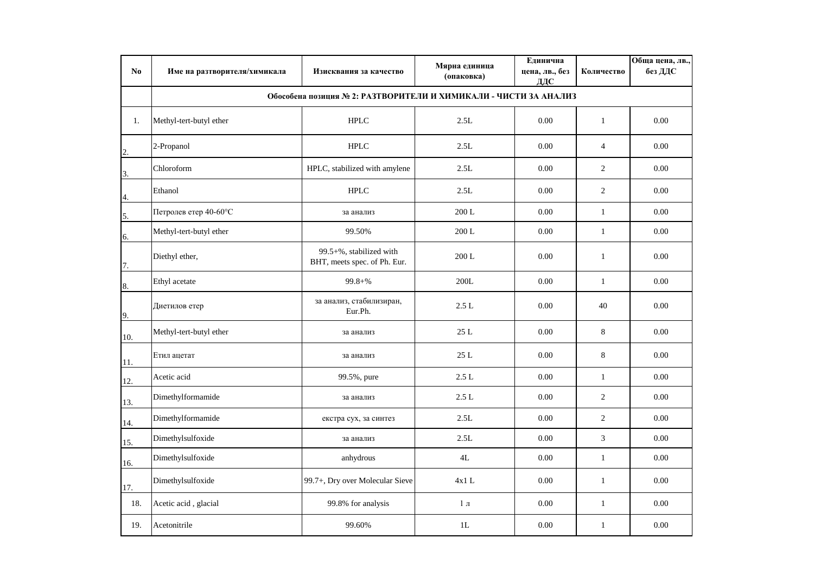| No             | Име на разтворителя/химикала                                     | Изисквания за качество                                  | Мярна единица<br>(опаковка) | Единична<br>цена, лв., без<br>ДДС | Количество     | Обща цена, лв.,<br>без ДДС |  |  |  |  |
|----------------|------------------------------------------------------------------|---------------------------------------------------------|-----------------------------|-----------------------------------|----------------|----------------------------|--|--|--|--|
|                | Обособена позиция № 2: РАЗТВОРИТЕЛИ И ХИМИКАЛИ - ЧИСТИ ЗА АНАЛИЗ |                                                         |                             |                                   |                |                            |  |  |  |  |
| 1.             | Methyl-tert-butyl ether                                          | <b>HPLC</b>                                             | 2.5L                        | 0.00                              | $\mathbf{1}$   | 0.00                       |  |  |  |  |
| $\overline{c}$ | 2-Propanol                                                       | <b>HPLC</b>                                             | 2.5L                        | 0.00                              | $\overline{4}$ | 0.00                       |  |  |  |  |
| 3.             | Chloroform                                                       | HPLC, stabilized with amylene                           | 2.5L                        | 0.00                              | $\overline{2}$ | 0.00                       |  |  |  |  |
| 4.             | Ethanol                                                          | <b>HPLC</b>                                             | 2.5L                        | 0.00                              | $\overline{2}$ | 0.00                       |  |  |  |  |
| 5.             | Петролев етер 40-60°С                                            | за анализ                                               | 200 L                       | 0.00                              | $\mathbf{1}$   | 0.00                       |  |  |  |  |
| 6.             | Methyl-tert-butyl ether                                          | 99.50%                                                  | 200 L                       | 0.00                              | $\mathbf{1}$   | 0.00                       |  |  |  |  |
| 7.             | Diethyl ether,                                                   | 99.5+%, stabilized with<br>BHT, meets spec. of Ph. Eur. | 200 L                       | 0.00                              | $\mathbf{1}$   | 0.00                       |  |  |  |  |
| 8.             | Ethyl acetate                                                    | $99.8 +\%$                                              | 200L                        | 0.00                              | $\mathbf{1}$   | 0.00                       |  |  |  |  |
| 9.             | Диетилов етер                                                    | за анализ, стабилизиран,<br>Eur.Ph.                     | 2.5L                        | 0.00                              | 40             | 0.00                       |  |  |  |  |
| 10.            | Methyl-tert-butyl ether                                          | за анализ                                               | 25 L                        | 0.00                              | 8              | 0.00                       |  |  |  |  |
| 11.            | Етил ацетат                                                      | за анализ                                               | 25L                         | 0.00                              | 8              | 0.00                       |  |  |  |  |
| 12.            | Acetic acid                                                      | 99.5%, pure                                             | 2.5L                        | 0.00                              | $\mathbf{1}$   | 0.00                       |  |  |  |  |
| 13.            | Dimethylformamide                                                | за анализ                                               | 2.5L                        | 0.00                              | $\overline{2}$ | 0.00                       |  |  |  |  |
| 14.            | Dimethylformamide                                                | екстра сух, за синтез                                   | 2.5L                        | 0.00                              | $\overline{c}$ | 0.00                       |  |  |  |  |
| 15.            | Dimethylsulfoxide                                                | за анализ                                               | 2.5L                        | 0.00                              | $\mathfrak{Z}$ | 0.00                       |  |  |  |  |
| 16.            | Dimethylsulfoxide                                                | anhydrous                                               | 4L                          | 0.00                              | $\mathbf{1}$   | 0.00                       |  |  |  |  |
| 17.            | Dimethylsulfoxide                                                | 99.7+, Dry over Molecular Sieve                         | 4x1L                        | 0.00                              | $\mathbf{1}$   | 0.00                       |  |  |  |  |
| 18.            | Acetic acid, glacial                                             | 99.8% for analysis                                      | $1\,\pi$                    | 0.00                              | $\mathbf{1}$   | 0.00                       |  |  |  |  |
| 19.            | Acetonitrile                                                     | 99.60%                                                  | 1L                          | 0.00                              | $\mathbf{1}$   | 0.00                       |  |  |  |  |